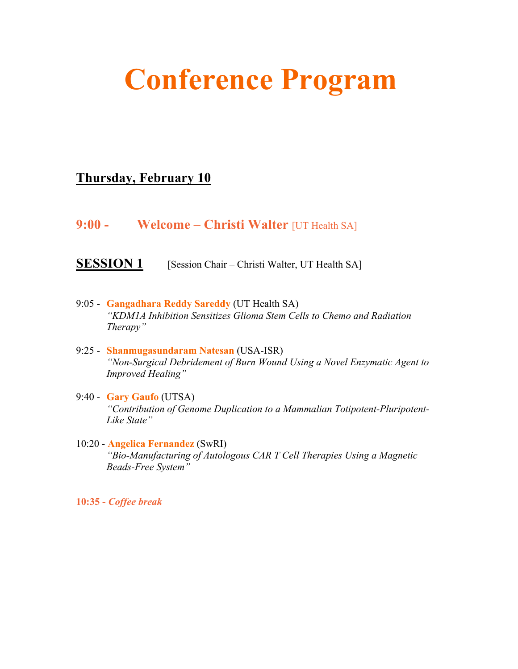# **Conference Program**

## **Thursday, February 10**

**9:00 - Welcome – Christi Walter** [UT Health SA]

**SESSION 1** [Session Chair – Christi Walter, UT Health SA]

- 9:05 **Gangadhara Reddy Sareddy** (UT Health SA) *"KDM1A Inhibition Sensitizes Glioma Stem Cells to Chemo and Radiation Therapy"*
- 9:25 **Shanmugasundaram Natesan** (USA-ISR) *"Non-Surgical Debridement of Burn Wound Using a Novel Enzymatic Agent to Improved Healing"*
- 9:40 **Gary Gaufo** (UTSA) *"Contribution of Genome Duplication to a Mammalian Totipotent-Pluripotent-Like State"*
- 10:20 **Angelica Fernandez** (SwRI) *"Bio-Manufacturing of Autologous CAR T Cell Therapies Using a Magnetic Beads-Free System"*

**10:35 -** *Coffee break*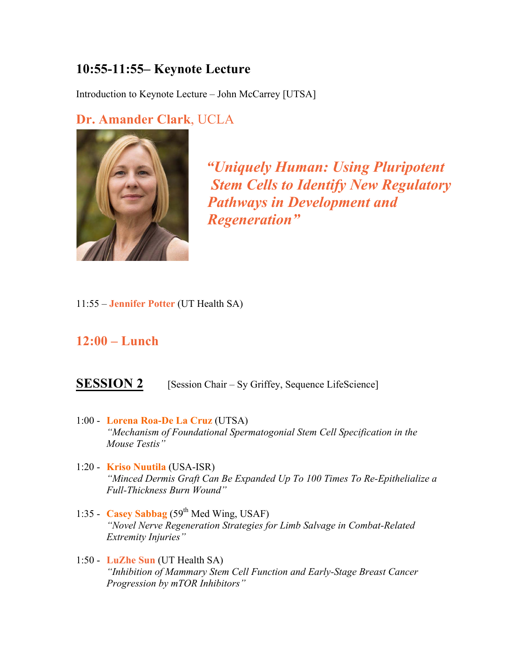# **10:55-11:55– Keynote Lecture**

Introduction to Keynote Lecture – John McCarrey [UTSA]

### **Dr. Amander Clark**, UCLA



 *"Uniquely Human: Using Pluripotent Stem Cells to Identify New Regulatory Pathways in Development and Regeneration"*

11:55 – **Jennifer Potter** (UT Health SA)

#### **12:00 – Lunch**

#### **SESSION 2** [Session Chair – Sy Griffey, Sequence LifeScience]

- 1:00 **Lorena Roa-De La Cruz** (UTSA) *"Mechanism of Foundational Spermatogonial Stem Cell Specification in the Mouse Testis"*
- 1:20 **Kriso Nuutila** (USA-ISR) *"Minced Dermis Graft Can Be Expanded Up To 100 Times To Re-Epithelialize a Full-Thickness Burn Wound"*
- 1:35 **Casey Sabbag** (59th Med Wing, USAF) *"Novel Nerve Regeneration Strategies for Limb Salvage in Combat-Related Extremity Injuries"*
- 1:50 **LuZhe Sun** (UT Health SA) *"Inhibition of Mammary Stem Cell Function and Early-Stage Breast Cancer Progression by mTOR Inhibitors"*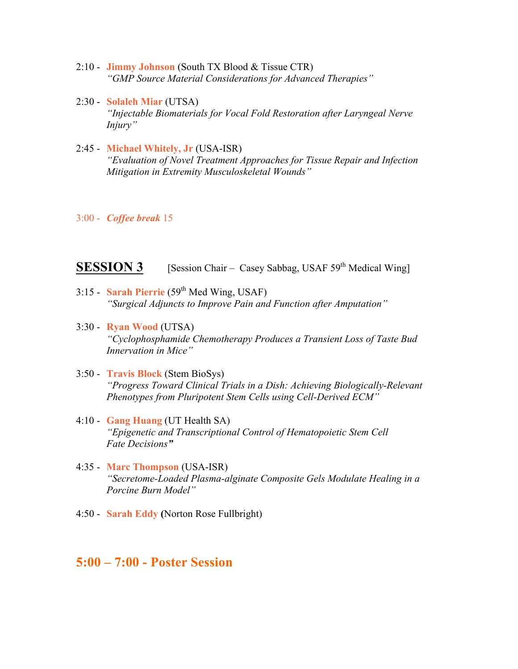- 2:10 **Jimmy Johnson** (South TX Blood & Tissue CTR) *"GMP Source Material Considerations for Advanced Therapies"*
- 2:30 **Solaleh Miar** (UTSA) *"Injectable Biomaterials for Vocal Fold Restoration after Laryngeal Nerve Injury"*
- 2:45 **Michael Whitely, Jr** (USA-ISR) *"Evaluation of Novel Treatment Approaches for Tissue Repair and Infection Mitigation in Extremity Musculoskeletal Wounds"*
- 3:00 *Coffee break* 15

#### **SESSION 3** [Session Chair – Casey Sabbag, USAF 59<sup>th</sup> Medical Wing]

- 3:15 **Sarah Pierrie** (59th Med Wing, USAF) *"Surgical Adjuncts to Improve Pain and Function after Amputation"*
- 3:30 **Ryan Wood** (UTSA) *"Cyclophosphamide Chemotherapy Produces a Transient Loss of Taste Bud Innervation in Mice"*
- 3:50 **Travis Block** (Stem BioSys) *"Progress Toward Clinical Trials in a Dish: Achieving Biologically-Relevant Phenotypes from Pluripotent Stem Cells using Cell-Derived ECM"*
- 4:10 **Gang Huang** (UT Health SA) *"Epigenetic and Transcriptional Control of Hematopoietic Stem Cell Fate Decisions"*
- 4:35 **Marc Thompson** (USA-ISR) *"Secretome-Loaded Plasma-alginate Composite Gels Modulate Healing in a Porcine Burn Model"*
- 4:50 **Sarah Eddy (**Norton Rose Fullbright)

#### **5:00 – 7:00 - Poster Session**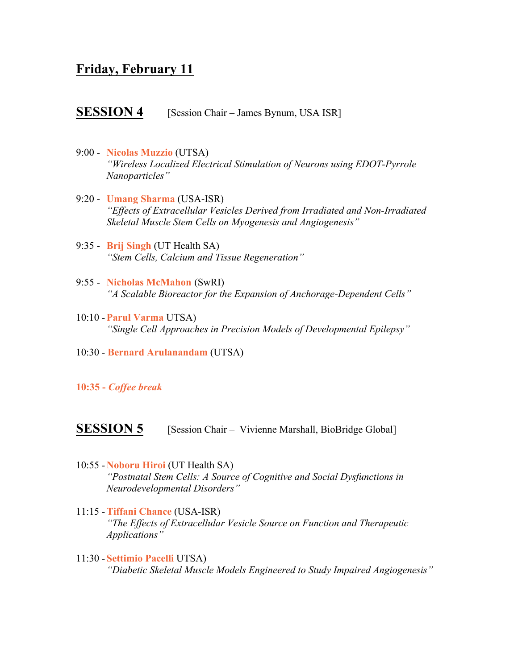#### **Friday, February 11**

#### **SESSION 4** [Session Chair – James Bynum, USA ISR]

- 9:00 **Nicolas Muzzio** (UTSA) *"Wireless Localized Electrical Stimulation of Neurons using EDOT-Pyrrole Nanoparticles"*
- 9:20 **Umang Sharma** (USA-ISR) *"Effects of Extracellular Vesicles Derived from Irradiated and Non-Irradiated Skeletal Muscle Stem Cells on Myogenesis and Angiogenesis"*
- 9:35 **Brij Singh** (UT Health SA) *"Stem Cells, Calcium and Tissue Regeneration"*
- 9:55 **Nicholas McMahon** (SwRI) *"A Scalable Bioreactor for the Expansion of Anchorage-Dependent Cells"*
- 10:10 -**Parul Varma** UTSA) *"Single Cell Approaches in Precision Models of Developmental Epilepsy"*
- 10:30 **Bernard Arulanandam** (UTSA)
- **10:35 -** *Coffee break*

**SESSION 5** [Session Chair – Vivienne Marshall, BioBridge Global]

- 10:55 -**Noboru Hiroi** (UT Health SA) *"Postnatal Stem Cells: A Source of Cognitive and Social Dysfunctions in Neurodevelopmental Disorders"*
- 11:15 -**Tiffani Chance** (USA-ISR) *"The Effects of Extracellular Vesicle Source on Function and Therapeutic Applications"*
- 11:30 **Settimio Pacelli** UTSA) *"Diabetic Skeletal Muscle Models Engineered to Study Impaired Angiogenesis"*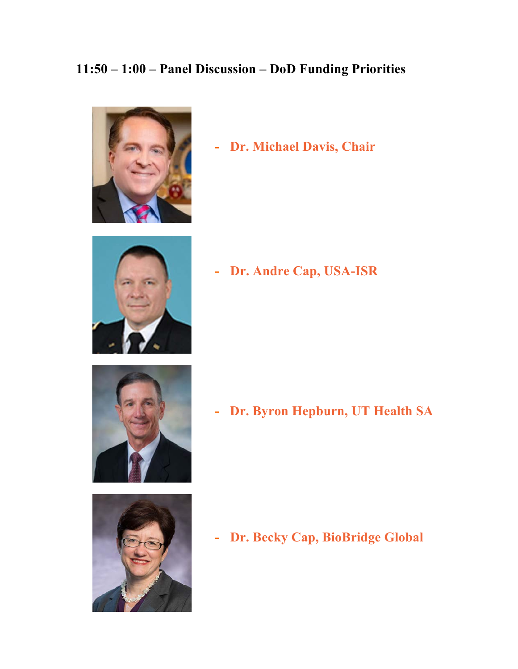# **11:50 – 1:00 – Panel Discussion – DoD Funding Priorities**



**- Dr. Michael Davis, Chair**



**- Dr. Andre Cap, USA-ISR**





**- Dr. Byron Hepburn, UT Health SA**

**- Dr. Becky Cap, BioBridge Global**